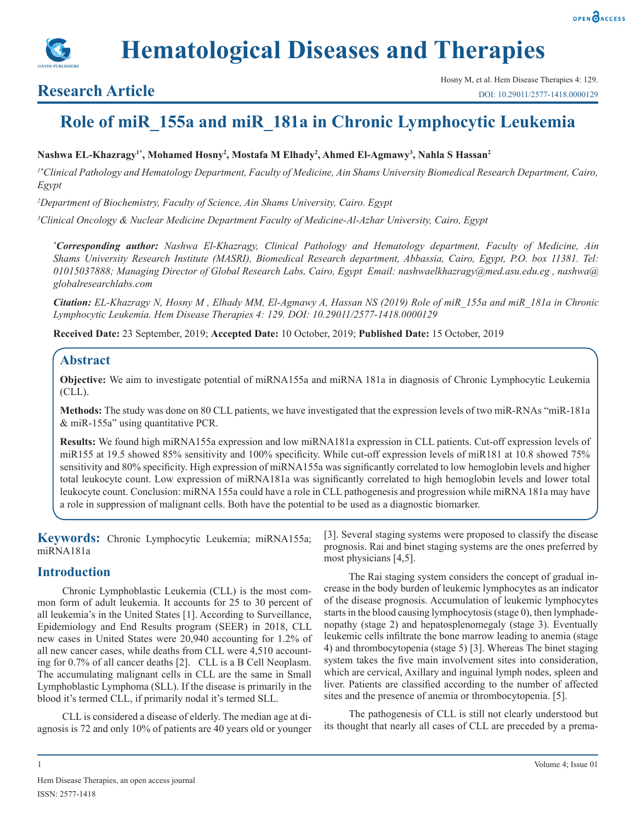



## **Research Article**

# **Role of miR\_155a and miR\_181a in Chronic Lymphocytic Leukemia**

**Nashwa EL-Khazragy1\*, Mohamed Hosny2 , Mostafa M Elhady2 , Ahmed El-Agmawy3 , Nahla S Hassan2**

*1\*Clinical Pathology and Hematology Department, Faculty of Medicine, Ain Shams University Biomedical Research Department, Cairo, Egypt*

*2 Department of Biochemistry, Faculty of Science, Ain Shams University, Cairo. Egypt* 

*3 Clinical Oncology & Nuclear Medicine Department Faculty of Medicine-Al-Azhar University, Cairo, Egypt* 

*\* Corresponding author: Nashwa El-Khazragy, Clinical Pathology and Hematology department, Faculty of Medicine, Ain Shams University Research Institute (MASRI), Biomedical Research department, Abbassia, Cairo, Egypt, P.O. box 11381. Tel: 01015037888; Managing Director of Global Research Labs, Cairo, Egypt Email: nashwaelkhazragy@med.asu.edu.eg , nashwa@ globalresearchlabs.com*

*Citation: EL-Khazragy N, Hosny M , Elhady MM, El-Agmawy A, Hassan NS (2019) Role of miR\_155a and miR\_181a in Chronic Lymphocytic Leukemia. Hem Disease Therapies 4: 129. DOI: 10.29011/2577-1418.0000129*

**Received Date:** 23 September, 2019; **Accepted Date:** 10 October, 2019; **Published Date:** 15 October, 2019

## **Abstract**

**Objective:** We aim to investigate potential of miRNA155a and miRNA 181a in diagnosis of Chronic Lymphocytic Leukemia (CLL).

**Methods:** The study was done on 80 CLL patients, we have investigated that the expression levels of two miR-RNAs "miR-181a & miR-155a" using quantitative PCR.

**Results:** We found high miRNA155a expression and low miRNA181a expression in CLL patients. Cut-off expression levels of miR155 at 19.5 showed 85% sensitivity and 100% specificity. While cut-off expression levels of miR181 at 10.8 showed 75% sensitivity and 80% specificity. High expression of miRNA155a was significantly correlated to low hemoglobin levels and higher total leukocyte count. Low expression of miRNA181a was significantly correlated to high hemoglobin levels and lower total leukocyte count. Conclusion: miRNA 155a could have a role in CLL pathogenesis and progression while miRNA 181a may have a role in suppression of malignant cells. Both have the potential to be used as a diagnostic biomarker.

**Keywords:** Chronic Lymphocytic Leukemia; miRNA155a; miRNA181a

## **Introduction**

Chronic Lymphoblastic Leukemia (CLL) is the most common form of adult leukemia. It accounts for 25 to 30 percent of all leukemia's in the United States [1]. According to Surveillance, Epidemiology and End Results program (SEER) in 2018, CLL new cases in United States were 20,940 accounting for 1.2% of all new cancer cases, while deaths from CLL were 4,510 accounting for 0.7% of all cancer deaths [2]. CLL is a B Cell Neoplasm. The accumulating malignant cells in CLL are the same in Small Lymphoblastic Lymphoma (SLL). If the disease is primarily in the blood it's termed CLL, if primarily nodal it's termed SLL.

CLL is considered a disease of elderly. The median age at diagnosis is 72 and only 10% of patients are 40 years old or younger [3]. Several staging systems were proposed to classify the disease prognosis. Rai and binet staging systems are the ones preferred by most physicians [4,5].

The Rai staging system considers the concept of gradual increase in the body burden of leukemic lymphocytes as an indicator of the disease prognosis. Accumulation of leukemic lymphocytes starts in the blood causing lymphocytosis (stage 0), then lymphadenopathy (stage 2) and hepatosplenomegaly (stage 3). Eventually leukemic cells infiltrate the bone marrow leading to anemia (stage 4) and thrombocytopenia (stage 5) [3]. Whereas The binet staging system takes the five main involvement sites into consideration, which are cervical, Axillary and inguinal lymph nodes, spleen and liver. Patients are classified according to the number of affected sites and the presence of anemia or thrombocytopenia. [5].

The pathogenesis of CLL is still not clearly understood but its thought that nearly all cases of CLL are preceded by a prema-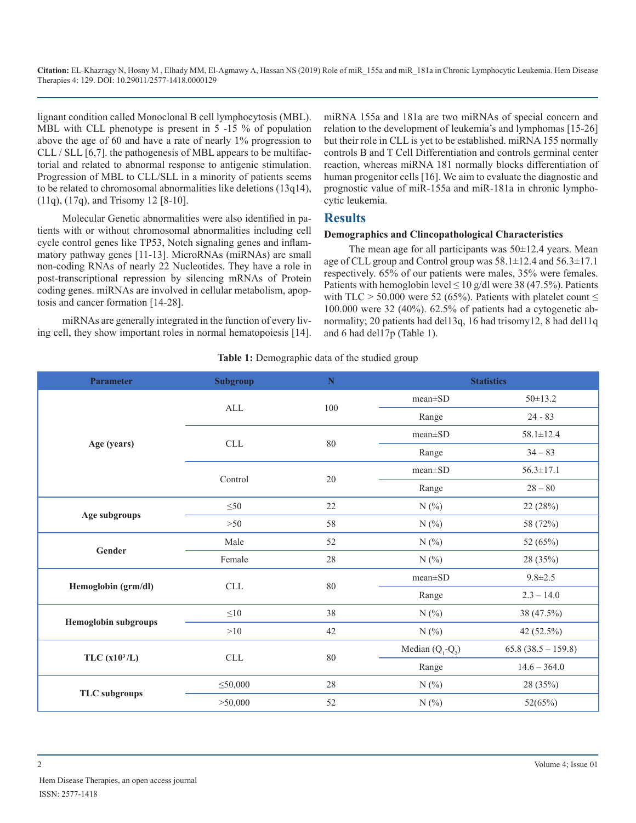lignant condition called Monoclonal B cell lymphocytosis (MBL). MBL with CLL phenotype is present in 5 -15 % of population above the age of 60 and have a rate of nearly 1% progression to CLL / SLL [6,7]. the pathogenesis of MBL appears to be multifactorial and related to abnormal response to antigenic stimulation. Progression of MBL to CLL/SLL in a minority of patients seems to be related to chromosomal abnormalities like deletions (13q14), (11q), (17q), and Trisomy 12 [8-10].

Molecular Genetic abnormalities were also identified in patients with or without chromosomal abnormalities including cell cycle control genes like TP53, Notch signaling genes and inflammatory pathway genes [11-13]. MicroRNAs (miRNAs) are small non-coding RNAs of nearly 22 Nucleotides. They have a role in post-transcriptional repression by silencing mRNAs of Protein coding genes. miRNAs are involved in cellular metabolism, apoptosis and cancer formation [14-28].

miRNAs are generally integrated in the function of every living cell, they show important roles in normal hematopoiesis [14]. miRNA 155a and 181a are two miRNAs of special concern and relation to the development of leukemia's and lymphomas [15-26] but their role in CLL is yet to be established. miRNA 155 normally controls B and T Cell Differentiation and controls germinal center reaction, whereas miRNA 181 normally blocks differentiation of human progenitor cells [16]. We aim to evaluate the diagnostic and prognostic value of miR-155a and miR-181a in chronic lymphocytic leukemia.

## **Results**

#### **Demographics and Clincopathological Characteristics**

The mean age for all participants was  $50\pm12.4$  years. Mean age of CLL group and Control group was 58.1±12.4 and 56.3±17.1 respectively. 65% of our patients were males, 35% were females. Patients with hemoglobin level  $\leq 10$  g/dl were 38 (47.5%). Patients with TLC > 50.000 were 52 (65%). Patients with platelet count  $\leq$ 100.000 were 32 (40%). 62.5% of patients had a cytogenetic abnormality; 20 patients had del13q, 16 had trisomy12, 8 had del11q and 6 had del17p (Table 1).

#### **Table 1:** Demographic data of the studied group

| <b>Parameter</b>            | <b>Subgroup</b> | ${\bf N}$ |                                                                                                                                                                                                                                                                                                                                                        | <b>Statistics</b>     |
|-----------------------------|-----------------|-----------|--------------------------------------------------------------------------------------------------------------------------------------------------------------------------------------------------------------------------------------------------------------------------------------------------------------------------------------------------------|-----------------------|
|                             |                 | 100       | $mean \pm SD$                                                                                                                                                                                                                                                                                                                                          | $50 \pm 13.2$         |
|                             | ALL             |           | Range                                                                                                                                                                                                                                                                                                                                                  | $24 - 83$             |
|                             | CLL             | 80        | mean±SD                                                                                                                                                                                                                                                                                                                                                | $58.1 \pm 12.4$       |
| Age (years)                 |                 |           | Range<br>$34 - 83$<br>$56.3 \pm 17.1$<br>$mean \pm SD$<br>Range<br>$28 - 80$<br>N(%<br>22 (28%)<br>N(%<br>58 (72%)<br>N(%<br>52 (65%)<br>N(%<br>28 (35%)<br>$9.8 \pm 2.5$<br>$mean \pm SD$<br>$2.3 - 14.0$<br>Range<br>N(%<br>38 (47.5%)<br>N(%<br>42 $(52.5\%)$<br>Median $(Q_1-Q_2)$<br>$14.6 - 364.0$<br>Range<br>N(%<br>28 (35%)<br>N(%<br>52(65%) |                       |
|                             | Control         | 20        |                                                                                                                                                                                                                                                                                                                                                        |                       |
|                             |                 |           |                                                                                                                                                                                                                                                                                                                                                        |                       |
|                             | $\leq 50$       | 22        |                                                                                                                                                                                                                                                                                                                                                        |                       |
| Age subgroups               | >50             | 58        |                                                                                                                                                                                                                                                                                                                                                        |                       |
|                             | Male            | 52        |                                                                                                                                                                                                                                                                                                                                                        |                       |
| Gender                      | Female          | 28        |                                                                                                                                                                                                                                                                                                                                                        |                       |
|                             | CLL             | 80        |                                                                                                                                                                                                                                                                                                                                                        |                       |
| Hemoglobin (grm/dl)         |                 |           |                                                                                                                                                                                                                                                                                                                                                        |                       |
|                             | $\leq 10$       | 38        |                                                                                                                                                                                                                                                                                                                                                        |                       |
| <b>Hemoglobin subgroups</b> | >10             | 42        |                                                                                                                                                                                                                                                                                                                                                        |                       |
| TLC $(x10^3/L)$             |                 | 80        |                                                                                                                                                                                                                                                                                                                                                        | $65.8 (38.5 - 159.8)$ |
|                             | CLL             |           |                                                                                                                                                                                                                                                                                                                                                        |                       |
| <b>TLC</b> subgroups        | $\leq 50,000$   | 28        |                                                                                                                                                                                                                                                                                                                                                        |                       |
|                             | > 50,000        | 52        |                                                                                                                                                                                                                                                                                                                                                        |                       |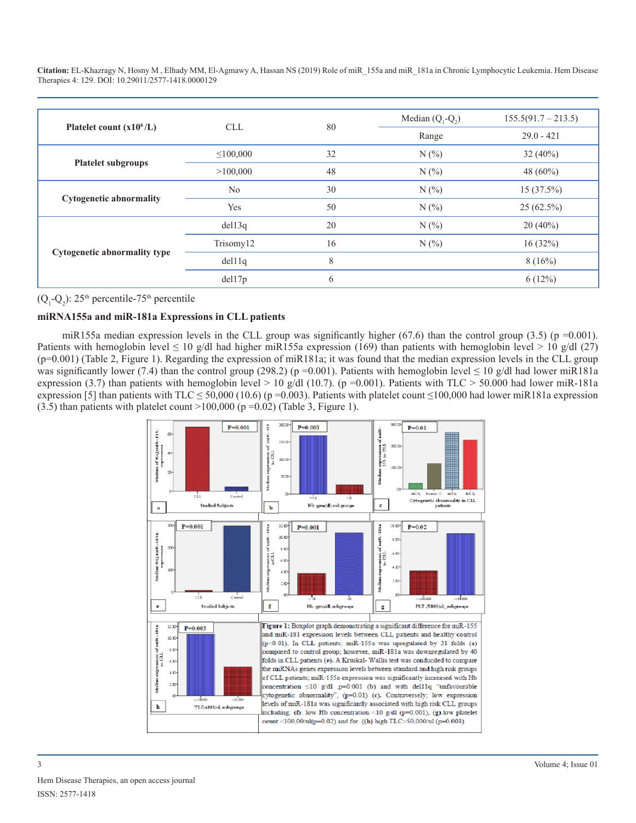|                                | <b>CLL</b>     | 80 | Median $(Q_1-Q_2)$ | $155.5(91.7 - 213.5)$ |
|--------------------------------|----------------|----|--------------------|-----------------------|
| Platelet count $(x106/L)$      |                |    | Range              | $29.0 - 421$          |
|                                | $\leq 100,000$ | 32 | N(%                | 32 $(40\%)$           |
| <b>Platelet subgroups</b>      | >100,000       | 48 | N(%                | 48 $(60\%)$           |
| <b>Cytogenetic abnormality</b> | No             | 30 | N(%                | 15(37.5%)             |
|                                | Yes            | 50 | N(%                | $25(62.5\%)$          |
| Cytogenetic abnormality type   | del13q         | 20 | N(%                | $20(40\%)$            |
|                                | Trisomy12      | 16 | N(%                | 16(32%)               |
|                                | del11q         | 8  |                    | 8(16%)                |
|                                | del17p         | 6  |                    | 6(12%)                |

 $(Q_1 - Q_2)$ : 25<sup>th</sup> percentile-75<sup>th</sup> percentile

## **miRNA155a and miR-181a Expressions in CLL patients**

miR155a median expression levels in the CLL group was significantly higher (67.6) than the control group (3.5) (p =0.001). Patients with hemoglobin level  $\leq 10$  g/dl had higher miR155a expression (169) than patients with hemoglobin level > 10 g/dl (27)  $(p=0.001)$  (Table 2, Figure 1). Regarding the expression of miR181a; it was found that the median expression levels in the CLL group was significantly lower (7.4) than the control group (298.2) (p =0.001). Patients with hemoglobin level  $\leq 10$  g/dl had lower miR181a expression (3.7) than patients with hemoglobin level > 10 g/dl (10.7). (p =0.001). Patients with TLC > 50.000 had lower miR-181a expression [5] than patients with TLC  $\leq$  50,000 (10.6) (p =0.003). Patients with platelet count  $\leq$  100,000 had lower miR181a expression  $(3.5)$  than patients with platelet count >100,000 (p =0.02) (Table 3, Figure 1).

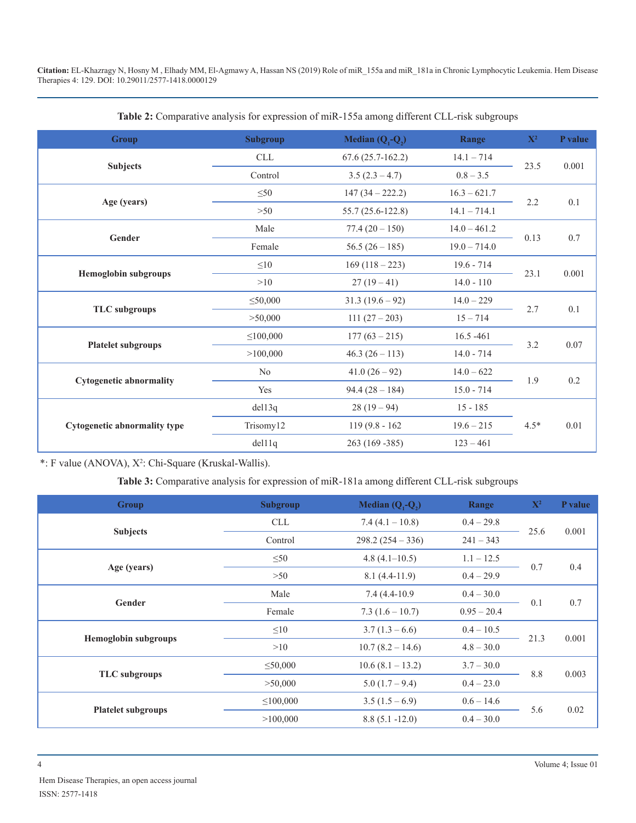| <b>Group</b>                        | <b>Subgroup</b>                | Median $(Q_1-Q_2)$              |                                                | $X^2$  | P value  |
|-------------------------------------|--------------------------------|---------------------------------|------------------------------------------------|--------|----------|
|                                     | <b>CLL</b>                     | $67.6(25.7-162.2)$              | $14.1 - 714$                                   | 23.5   | 0.001    |
| <b>Subjects</b>                     | Control                        | $3.5(2.3 - 4.7)$                | $0.8 - 3.5$                                    |        |          |
|                                     | $\leq 50$<br>$147(34 - 222.2)$ |                                 | $16.3 - 621.7$                                 | 2.2    |          |
| Age (years)                         | >50                            | 55.7 (25.6-122.8)               | $14.1 - 714.1$                                 |        | $0.1\,$  |
| Gender                              | Male                           | $77.4(20-150)$                  | $14.0 - 461.2$                                 |        | $0.7\,$  |
|                                     | Female                         | $56.5(26-185)$                  | $19.0 - 714.0$                                 | 0.13   |          |
|                                     | $\leq10$                       | $169(118-223)$                  | $19.6 - 714$                                   |        | 0.001    |
| <b>Hemoglobin subgroups</b>         | >10                            | $27(19-41)$                     | $14.0 - 110$                                   | 23.1   |          |
|                                     | $\leq 50,000$                  | $31.3(19.6-92)$<br>$14.0 - 229$ |                                                | 2.7    | 0.1      |
| <b>TLC</b> subgroups                | > 50,000                       | $111(27-203)$                   | $15 - 714$                                     |        |          |
|                                     | $\leq 100,000$                 | $177(63 - 215)$                 | $16.5 - 461$<br>$14.0 - 714$<br>$46.3(26-113)$ |        | $0.07\,$ |
| <b>Platelet subgroups</b>           | >100,000                       |                                 |                                                |        |          |
| <b>Cytogenetic abnormality</b>      | No                             | $41.0(26-92)$                   | $14.0 - 622$                                   | 1.9    | 0.2      |
|                                     | Yes                            | $15.0 - 714$<br>$94.4(28-184)$  |                                                |        |          |
|                                     | del13q                         | $28(19-94)$                     | $15 - 185$                                     |        |          |
| <b>Cytogenetic abnormality type</b> | Trisomy12                      | $119(9.8 - 162)$                | $19.6 - 215$                                   | $4.5*$ | 0.01     |
|                                     | del11q                         | 263 (169 - 385)                 | $123 - 461$                                    |        |          |

**Table 2:** Comparative analysis for expression of miR-155a among different CLL-risk subgroups

\*: F value (ANOVA), X<sup>2</sup>: Chi-Square (Kruskal-Wallis).

**Table 3:** Comparative analysis for expression of miR-181a among different CLL-risk subgroups

| <b>Group</b>                | <b>Subgroup</b>                             | Median $(Q_1-Q_2)$ | Range         | $\mathbf{X}^2$ | P value |
|-----------------------------|---------------------------------------------|--------------------|---------------|----------------|---------|
|                             | <b>CLL</b>                                  | $7.4(4.1 - 10.8)$  | $0.4 - 29.8$  | 25.6           |         |
| <b>Subjects</b>             | Control                                     | $298.2(254 - 336)$ | $241 - 343$   |                | 0.001   |
|                             | $\leq 50$                                   | $4.8(4.1-10.5)$    | $1.1 - 12.5$  |                | 0.4     |
| Age (years)                 | >50                                         | $8.1(4.4-11.9)$    | $0.4 - 29.9$  | 0.7            |         |
|                             | Male                                        | 7.4 (4.4-10.9)     | $0.4 - 30.0$  |                | 0.7     |
| Gender                      | Female                                      | $7.3(1.6 - 10.7)$  | $0.95 - 20.4$ | 0.1            |         |
|                             | $3.7(1.3-6.6)$<br>$\leq 10$<br>$0.4 - 10.5$ |                    |               | 0.001          |         |
| <b>Hemoglobin subgroups</b> | >10                                         | $10.7(8.2 - 14.6)$ | $4.8 - 30.0$  | 21.3           |         |
|                             | $\leq 50,000$                               | $10.6(8.1 - 13.2)$ | $3.7 - 30.0$  |                | 0.003   |
| <b>TLC</b> subgroups        | > 50,000                                    | $5.0(1.7-9.4)$     | $0.4 - 23.0$  | 8.8            |         |
| <b>Platelet subgroups</b>   | $\leq 100,000$                              | $3.5(1.5-6.9)$     | $0.6 - 14.6$  | 5.6            | 0.02    |
|                             | >100,000                                    | $8.8(5.1 - 12.0)$  | $0.4 - 30.0$  |                |         |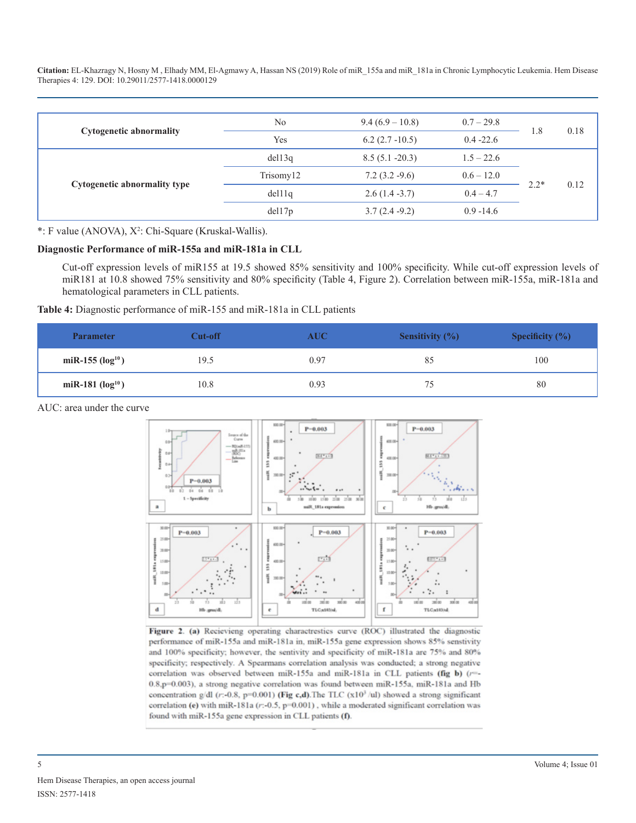| <b>Cytogenetic abnormality</b> | N <sub>0</sub> | $9.4(6.9-10.8)$   | $0.7 - 29.8$ | 1.8    | 0.18 |
|--------------------------------|----------------|-------------------|--------------|--------|------|
|                                | Yes            | $6.2(2.7-10.5)$   | $0.4 - 22.6$ |        |      |
| Cytogenetic abnormality type   | del13q         | $8.5(5.1 - 20.3)$ | $1.5 - 22.6$ |        |      |
|                                | Trisomy12      | $7.2(3.2-9.6)$    | $0.6 - 12.0$ |        |      |
|                                | del11q         | $2.6(1.4 - 3.7)$  | $0.4 - 4.7$  | $2.2*$ | 0.12 |
|                                | del17p         | $3.7(2.4-9.2)$    | $0.9 - 14.6$ |        |      |

\*: F value (ANOVA), X<sup>2</sup>: Chi-Square (Kruskal-Wallis).

#### **Diagnostic Performance of miR-155a and miR-181a in CLL**

Cut-off expression levels of miR155 at 19.5 showed 85% sensitivity and 100% specificity. While cut-off expression levels of miR181 at 10.8 showed 75% sensitivity and 80% specificity (Table 4, Figure 2). Correlation between miR-155a, miR-181a and hematological parameters in CLL patients.

## **Table 4:** Diagnostic performance of miR-155 and miR-181a in CLL patients

| <b>Parameter</b>     | Cut-off | $\mathbf{AUC}$ | Sensitivity $(\% )$ | <b>Specificity</b> $(\%)$ |
|----------------------|---------|----------------|---------------------|---------------------------|
| miR-155 $(log^{10})$ | 19.5    | 0.97           | 85                  | 100                       |
| miR-181 $(log^{10})$ | 10.8    | 0.93           | 75                  | 80                        |

AUC: area under the curve



Figure 2. (a) Recievieng operating charactrestics curve (ROC) illustrated the diagnostic performance of miR-155a and miR-181a in, miR-155a gene expression shows 85% senstivity and 100% specificity; however, the sentivity and specificity of miR-181a are 75% and 80% specificity; respectively. A Spearmans correlation analysis was conducted; a strong negative correlation was observed between miR-155a and miR-181a in CLL patients (fig b) (r=-0.8,p=0.003), a strong negative correlation was found between miR-155a, miR-181a and Hb concentration g/dl (r:-0.8, p=0.001) (Fig c,d). The TLC (x10<sup>3</sup>/ul) showed a strong significant correlation (e) with miR-181a (r:-0.5, p=0.001), while a moderated significant correlation was found with miR-155a gene expression in CLL patients (f).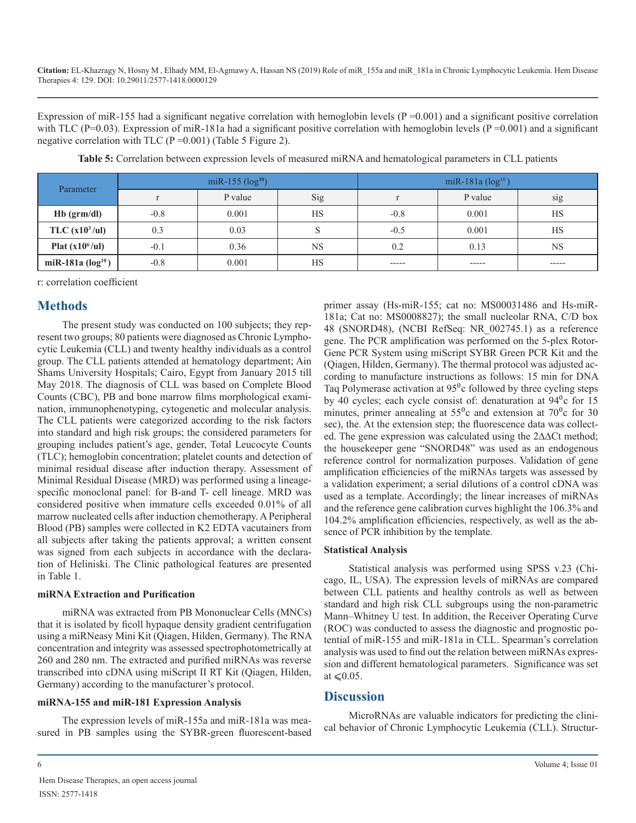Expression of miR-155 had a significant negative correlation with hemoglobin levels ( $P = 0.001$ ) and a significant positive correlation with TLC (P=0.03). Expression of miR-181a had a significant positive correlation with hemoglobin levels (P=0.001) and a significant negative correlation with TLC ( $P = 0.001$ ) (Table 5 Figure 2).

| Parameter          | miR-155 $(log^{10})$ |         |           | miR-181a $(\log^{10})$ |             |             |
|--------------------|----------------------|---------|-----------|------------------------|-------------|-------------|
|                    |                      | P value | Sig       |                        | P value     | sig         |
| $Hb$ (grm/dl)      | $-0.8$               | 0.001   | <b>HS</b> | $-0.8$                 | 0.001       | <b>HS</b>   |
| TLC $(x10^3/ul)$   | 0.3                  | 0.03    |           | $-0.5$                 | 0.001       | <b>HS</b>   |
| Plat $(x10^6/ul)$  | $-0.1$               | 0.36    | <b>NS</b> | 0.2                    | 0.13        | NS          |
| miR-181a $(log10)$ | $-0.8$               | 0.001   | HS        | $- - - - -$            | $- - - - -$ | $- - - - -$ |

**Table 5:** Correlation between expression levels of measured miRNA and hematological parameters in CLL patients

r: correlation coefficient

## **Methods**

The present study was conducted on 100 subjects; they represent two groups; 80 patients were diagnosed as Chronic Lymphocytic Leukemia (CLL) and twenty healthy individuals as a control group. The CLL patients attended at hematology department; Ain Shams University Hospitals; Cairo, Egypt from January 2015 till May 2018. The diagnosis of CLL was based on Complete Blood Counts (CBC), PB and bone marrow films morphological examination, immunophenotyping, cytogenetic and molecular analysis. The CLL patients were categorized according to the risk factors into standard and high risk groups; the considered parameters for grouping includes patient's age, gender, Total Leucocyte Counts (TLC); hemoglobin concentration; platelet counts and detection of minimal residual disease after induction therapy. Assessment of Minimal Residual Disease (MRD) was performed using a lineagespecific monoclonal panel: for B-and T- cell lineage. MRD was considered positive when immature cells exceeded 0.01% of all marrow nucleated cells after induction chemotherapy. A Peripheral Blood (PB) samples were collected in K2 EDTA vacutainers from all subjects after taking the patients approval; a written consent was signed from each subjects in accordance with the declaration of Heliniski. The Clinic pathological features are presented in Table 1.

## **miRNA Extraction and Purification**

miRNA was extracted from PB Mononuclear Cells (MNCs) that it is isolated by ficoll hypaque density gradient centrifugation using a miRNeasy Mini Kit (Qiagen, Hilden, Germany). The RNA concentration and integrity was assessed spectrophotometrically at 260 and 280 nm. The extracted and purified miRNAs was reverse transcribed into cDNA using miScript II RT Kit (Qiagen, Hilden, Germany) according to the manufacturer's protocol.

## **miRNA-155 and miR-181 Expression Analysis**

The expression levels of miR-155a and miR-181a was measured in PB samples using the SYBR-green fluorescent-based primer assay (Hs-miR-155; cat no: MS00031486 and Hs-miR-181a; Cat no: MS0008827); the small nucleolar RNA, C/D box 48 (SNORD48), (NCBI RefSeq: NR\_002745.1) as a reference gene. The PCR amplification was performed on the 5-plex Rotor-Gene PCR System using miScript SYBR Green PCR Kit and the (Qiagen, Hilden, Germany). The thermal protocol was adjusted according to manufacture instructions as follows: 15 min for DNA Taq Polymerase activation at  $95^\circ$ c followed by three cycling steps by 40 cycles; each cycle consist of: denaturation at 94<sup>o</sup>c for 15 minutes, primer annealing at  $55^\circ$ c and extension at  $70^\circ$ c for 30 sec), the. At the extension step; the fluorescence data was collected. The gene expression was calculated using the 2∆∆Ct method; the housekeeper gene "SNORD48" was used as an endogenous reference control for normalization purposes. Validation of gene amplification efficiencies of the miRNAs targets was assessed by a validation experiment; a serial dilutions of a control cDNA was used as a template. Accordingly; the linear increases of miRNAs and the reference gene calibration curves highlight the 106.3% and 104.2% amplification efficiencies, respectively, as well as the absence of PCR inhibition by the template.

## **Statistical Analysis**

Statistical analysis was performed using SPSS v.23 (Chicago, IL, USA). The expression levels of miRNAs are compared between CLL patients and healthy controls as well as between standard and high risk CLL subgroups using the non-parametric Mann–Whitney U test. In addition, the Receiver Operating Curve (ROC) was conducted to assess the diagnostic and prognostic potential of miR-155 and miR-181a in CLL. Spearman's correlation analysis was used to find out the relation between miRNAs expression and different hematological parameters. Significance was set at  $\leq 0.05$ .

## **Discussion**

MicroRNAs are valuable indicators for predicting the clinical behavior of Chronic Lymphocytic Leukemia (CLL). Structur-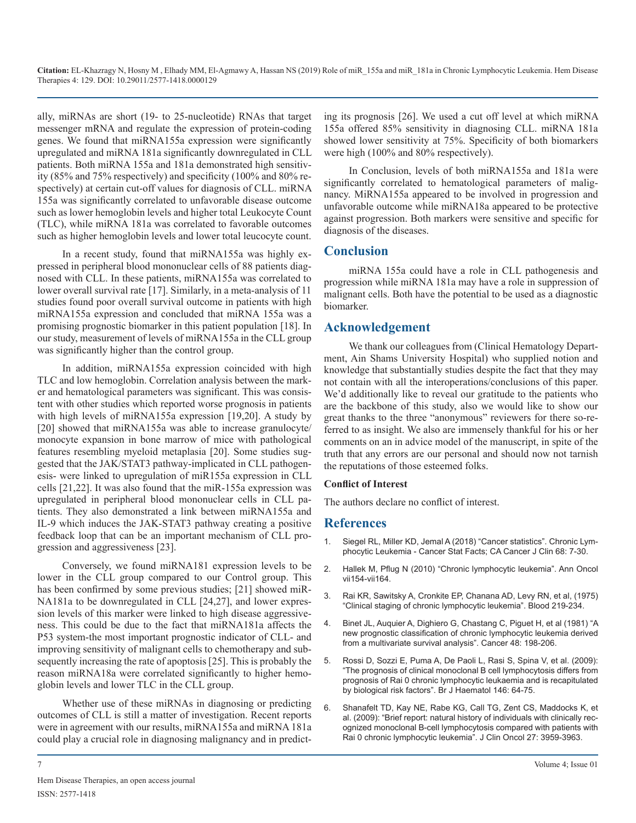ally, miRNAs are short (19- to 25-nucleotide) RNAs that target messenger mRNA and regulate the expression of protein-coding genes. We found that miRNA155a expression were significantly upregulated and miRNA 181a significantly downregulated in CLL patients. Both miRNA 155a and 181a demonstrated high sensitivity (85% and 75% respectively) and specificity (100% and 80% respectively) at certain cut-off values for diagnosis of CLL. miRNA 155a was significantly correlated to unfavorable disease outcome such as lower hemoglobin levels and higher total Leukocyte Count (TLC), while miRNA 181a was correlated to favorable outcomes such as higher hemoglobin levels and lower total leucocyte count.

In a recent study, found that miRNA155a was highly expressed in peripheral blood mononuclear cells of 88 patients diagnosed with CLL. In these patients, miRNA155a was correlated to lower overall survival rate [17]. Similarly, in a meta-analysis of 11 studies found poor overall survival outcome in patients with high miRNA155a expression and concluded that miRNA 155a was a promising prognostic biomarker in this patient population [18]. In our study, measurement of levels of miRNA155a in the CLL group was significantly higher than the control group.

In addition, miRNA155a expression coincided with high TLC and low hemoglobin. Correlation analysis between the marker and hematological parameters was significant. This was consistent with other studies which reported worse prognosis in patients with high levels of miRNA155a expression [19,20]. A study by [20] showed that miRNA155a was able to increase granulocyte/ monocyte expansion in bone marrow of mice with pathological features resembling myeloid metaplasia [20]. Some studies suggested that the JAK/STAT3 pathway-implicated in CLL pathogenesis- were linked to upregulation of miR155a expression in CLL cells [21,22]. It was also found that the miR-155a expression was upregulated in peripheral blood mononuclear cells in CLL patients. They also demonstrated a link between miRNA155a and IL-9 which induces the JAK-STAT3 pathway creating a positive feedback loop that can be an important mechanism of CLL progression and aggressiveness [23].

Conversely, we found miRNA181 expression levels to be [lower in the CLL group compared to our Control group. This](https://academic.oup.com/annonc/article/21/suppl_7/vii154/194259)  has been confirmed by some previous studies; [21] showed miR-NA181a to be downregulated in CLL [24,27], and lower expression levels of this marker were linked to high disease aggressiveness. This could be due to the fact that miRNA181a affects the P53 system-the most important prognostic indicator of CLL- and improving sensitivity of malignant cells to chemotherapy and subsequently increasing the rate of apoptosis [25]. This is probably the [reason miRNA18a were correlated significantly to higher hemo](https://www.ncbi.nlm.nih.gov/pubmed/19438485)globin levels and lower TLC in the CLL group.

Whether use of these miRNAs in diagnosing or predicting [outcomes of CLL is still a matter of investigation. Recent reports](https://www.ncbi.nlm.nih.gov/pubmed/19620484)  were in agreement with our results, miRNA155a and miRNA 181a could play a crucial role in diagnosing malignancy and in predicting its prognosis [26]. We used a cut off level at which miRNA 155a offered 85% sensitivity in diagnosing CLL. miRNA 181a showed lower sensitivity at 75%. Specificity of both biomarkers were high (100% and 80% respectively).

In Conclusion, levels of both miRNA155a and 181a were significantly correlated to hematological parameters of malignancy. MiRNA155a appeared to be involved in progression and unfavorable outcome while miRNA18a appeared to be protective against progression. Both markers were sensitive and specific for diagnosis of the diseases.

## **Conclusion**

miRNA 155a could have a role in CLL pathogenesis and progression while miRNA 181a may have a role in suppression of malignant cells. Both have the potential to be used as a diagnostic biomarker.

## **Acknowledgement**

We thank our colleagues from (Clinical Hematology Department, Ain Shams University Hospital) who supplied notion and knowledge that substantially studies despite the fact that they may not contain with all the interoperations/conclusions of this paper. We'd additionally like to reveal our gratitude to the patients who are the backbone of this study, also we would like to show our great thanks to the three "anonymous" reviewers for there so-referred to as insight. We also are immensely thankful for his or her comments on an in advice model of the manuscript, in spite of the truth that any errors are our personal and should now not tarnish the reputations of those esteemed folks.

## **Conflict of Interest**

The authors declare no conflict of interest.

## **References**

- 1. [Siegel RL, Miller KD, Jemal A \(2018\) "Cancer statistics". Chronic Lym](https://www.biooncology.com/pathways/cancer-tumor-targets/b-cell/chronic-lymphocytic-leukemia-cll.html)[phocytic Leukemia - Cancer Stat Facts; CA Cancer J Clin 68: 7-30.](https://www.biooncology.com/pathways/cancer-tumor-targets/b-cell/chronic-lymphocytic-leukemia-cll.html)
- 2. [Hallek M, Pflug N \(2010\) "Chronic lymphocytic leukemia". Ann Oncol](https://academic.oup.com/annonc/article/21/suppl_7/vii154/194259)  vii154-vii164.
- 3. [Rai KR, Sawitsky A, Cronkite EP, Chanana AD, Levy RN, et al, \(1975\)](https://www.ncbi.nlm.nih.gov/pubmed/1139039)  ["Clinical staging of chronic lymphocytic leukemia". Blood 219-234](https://www.ncbi.nlm.nih.gov/pubmed/1139039).
- 4. [Binet JL, Auquier A, Dighiero G, Chastang C, Piguet H, et al \(1981\) "A](https://www.ncbi.nlm.nih.gov/pubmed/7237385)  [new prognostic classification of chronic lymphocytic leukemia derived](https://www.ncbi.nlm.nih.gov/pubmed/7237385)  [from a multivariate survival analysis". Cancer 48: 198-206](https://www.ncbi.nlm.nih.gov/pubmed/7237385).
- 5. [Rossi D, Sozzi E, Puma A, De Paoli L, Rasi S, Spina V, et al. \(2009\):](https://www.ncbi.nlm.nih.gov/pubmed/19438485)  "The prognosis of clinical monoclonal B cell lymphocytosis differs from [prognosis of Rai 0 chronic lymphocytic leukaemia and is recapitulated](https://www.ncbi.nlm.nih.gov/pubmed/19438485)  [by biological risk factors". Br J Haematol 146: 64-75.](https://www.ncbi.nlm.nih.gov/pubmed/19438485)
- 6. [Shanafelt TD, Kay NE, Rabe KG, Call TG, Zent CS, Maddocks K, et](https://www.ncbi.nlm.nih.gov/pubmed/19620484)  al. (2009): "Brief report: natural history of individuals with clinically rec[ognized monoclonal B-cell lymphocytosis compared with patients with](https://www.ncbi.nlm.nih.gov/pubmed/19620484) [Rai 0 chronic lymphocytic leukemia". J Clin Oncol 27: 3959-3963](https://www.ncbi.nlm.nih.gov/pubmed/19620484).